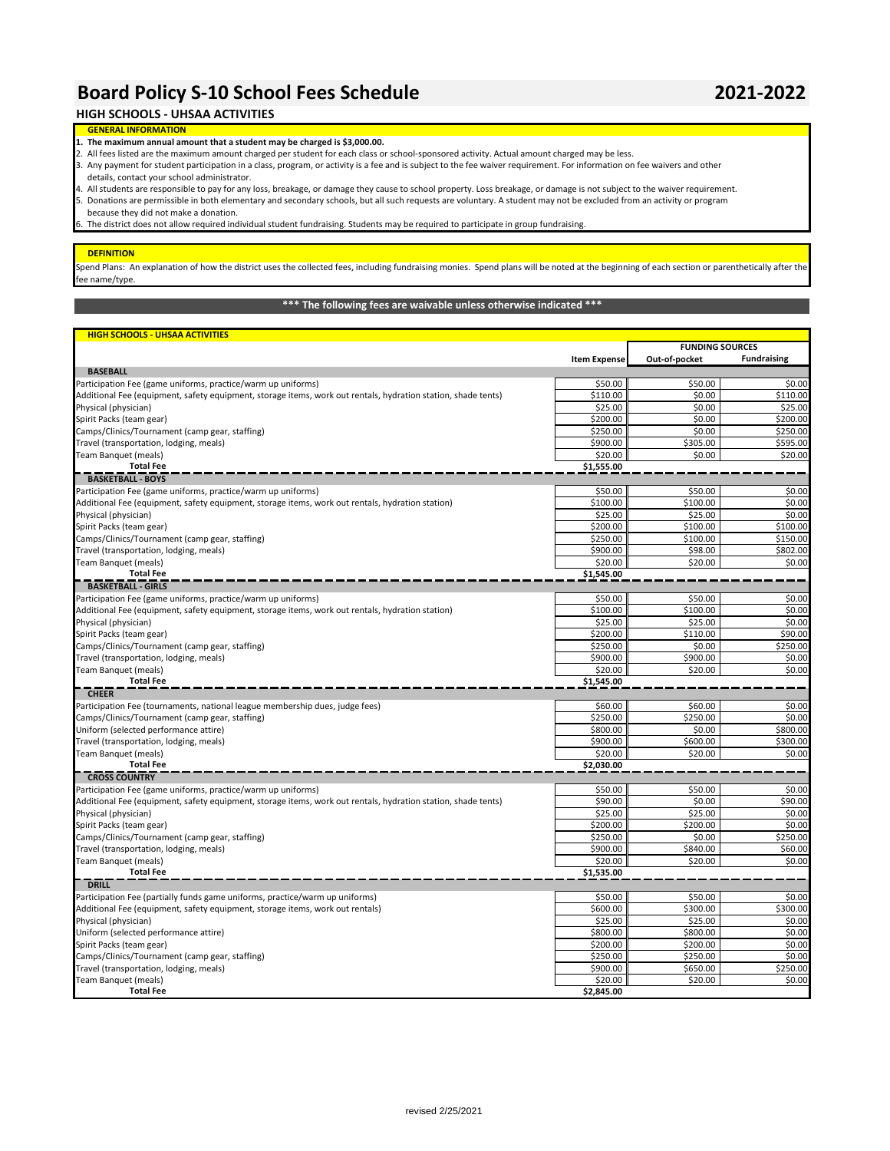# **Board Policy S-10 School Fees Schedule 2021-2022**

## **HIGH SCHOOLS - UHSAA ACTIVITIES**

### **GENERAL INFORMATION 1. The maximum annual amount that a student may be charged is \$3,000.00.**

- 2. All fees listed are the maximum amount charged per student for each class or school-sponsored activity. Actual amount charged may be less.
- 3. Any payment for student participation in a class, program, or activity is a fee and is subject to the fee waiver requirement. For information on fee waivers and other
- 3. details, contact your school administrator. 4. All students are responsible to pay for any loss, breakage, or damage they cause to school property. Loss breakage, or damage is not subject to the waiver requirement.
- because they did not make a donation. 5. Donations are permissible in both elementary and secondary schools, but all such requests are voluntary. A student may not be excluded from an activity or program

The district does not allow required individual student fundraising. Students may be required to participate in group fundraising.

#### **DEFINITION**

Spend Plans: An explanation of how the district uses the collected fees, including fundraising monies. Spend plans will be noted at the beginning of each section or parenthetically after the fee name/type.

# **\*\*\* The following fees are waivable unless otherwise indicated \*\*\***

| <b>HIGH SCHOOLS - UHSAA ACTIVITIES</b>                                                                        |                      |                        |                      |
|---------------------------------------------------------------------------------------------------------------|----------------------|------------------------|----------------------|
|                                                                                                               |                      | <b>FUNDING SOURCES</b> |                      |
|                                                                                                               | <b>Item Expense</b>  | Out-of-pocket          | <b>Fundraising</b>   |
| <b>BASEBALL</b>                                                                                               |                      |                        |                      |
| Participation Fee (game uniforms, practice/warm up uniforms)                                                  | \$50.00              | \$50.00                | \$0.00               |
| Additional Fee (equipment, safety equipment, storage items, work out rentals, hydration station, shade tents) | \$110.00             | \$0.00                 | \$110.00             |
| Physical (physician)                                                                                          | \$25.00              | \$0.00                 | \$25.00              |
| Spirit Packs (team gear)                                                                                      | \$200.00             | \$0.00                 | \$200.00             |
| Camps/Clinics/Tournament (camp gear, staffing)                                                                | \$250.00             | \$0.00                 | \$250.00             |
| Travel (transportation, lodging, meals)                                                                       | \$900.00             | \$305.00               | \$595.00             |
| Team Banquet (meals)                                                                                          | \$20.00              | \$0.00                 | \$20.00              |
| <b>Total Fee</b>                                                                                              | \$1,555.00           |                        |                      |
| <b>BASKETBALL - BOYS</b>                                                                                      |                      |                        |                      |
| Participation Fee (game uniforms, practice/warm up uniforms)                                                  | \$50.00              | \$50.00                | \$0.00               |
| Additional Fee (equipment, safety equipment, storage items, work out rentals, hydration station)              | \$100.00             | \$100.00               | \$0.00               |
| Physical (physician)                                                                                          | \$25.00              | \$25.00                | \$0.00               |
| Spirit Packs (team gear)                                                                                      | \$200.00             | \$100.00               | \$100.00             |
| Camps/Clinics/Tournament (camp gear, staffing)                                                                | \$250.00             | \$100.00               | \$150.00             |
| Travel (transportation, lodging, meals)                                                                       | \$900.00             | \$98.00                | \$802.00             |
| Team Banquet (meals)                                                                                          | \$20.00              | \$20.00                | \$0.00               |
| <b>Total Fee</b>                                                                                              | \$1,545.00           |                        |                      |
| <b>BASKETBALL - GIRLS</b>                                                                                     |                      |                        |                      |
| Participation Fee (game uniforms, practice/warm up uniforms)                                                  | \$50.00              | \$50.00                | \$0.00               |
| Additional Fee (equipment, safety equipment, storage items, work out rentals, hydration station)              | \$100.00             | \$100.00               | \$0.00               |
| Physical (physician)                                                                                          | \$25.00              | \$25.00                | \$0.00               |
| Spirit Packs (team gear)                                                                                      | \$200.00             | \$110.00               | \$90.00              |
| Camps/Clinics/Tournament (camp gear, staffing)                                                                | \$250.00             | \$0.00                 | \$250.00             |
| Travel (transportation, lodging, meals)                                                                       | \$900.00             | \$900.00               | \$0.00               |
| Team Banquet (meals)                                                                                          | \$20.00              | \$20.00                | \$0.00               |
| <b>Total Fee</b>                                                                                              | \$1,545.00           |                        |                      |
| <b>CHEER</b>                                                                                                  |                      |                        |                      |
| Participation Fee (tournaments, national league membership dues, judge fees)                                  | \$60.00              | \$60.00                | \$0.00<br>\$0.00     |
| Camps/Clinics/Tournament (camp gear, staffing)                                                                | \$250.00             | \$250.00               |                      |
| Uniform (selected performance attire)                                                                         | \$800.00<br>\$900.00 | \$0.00                 | \$800.00<br>\$300.00 |
| Travel (transportation, lodging, meals)                                                                       | \$20.00              | \$600.00               |                      |
| Team Banguet (meals)<br><b>Total Fee</b>                                                                      | \$2,030.00           | \$20.00                | \$0.00               |
| <b>CROSS COUNTRY</b>                                                                                          |                      |                        |                      |
| Participation Fee (game uniforms, practice/warm up uniforms)                                                  | \$50.00              | \$50.00                | \$0.00               |
| Additional Fee (equipment, safety equipment, storage items, work out rentals, hydration station, shade tents) | \$90.00              | \$0.00                 | \$90.00              |
| Physical (physician)                                                                                          | \$25.00              | \$25.00                | \$0.00               |
| Spirit Packs (team gear)                                                                                      | \$200.00             | \$200.00               | \$0.00               |
| Camps/Clinics/Tournament (camp gear, staffing)                                                                | \$250.00             | \$0.00                 | \$250.00             |
| Travel (transportation, lodging, meals)                                                                       | \$900.00             | \$840.00               | \$60.00              |
| Team Banquet (meals)                                                                                          | \$20.00              | \$20.00                | \$0.00               |
| <b>Total Fee</b>                                                                                              | \$1,535.00           |                        |                      |
| <b>DRILL</b>                                                                                                  |                      |                        |                      |
| Participation Fee (partially funds game uniforms, practice/warm up uniforms)                                  | \$50.00              | \$50.00                | \$0.00               |
| Additional Fee (equipment, safety equipment, storage items, work out rentals)                                 | \$600.00             | \$300.00               | \$300.00             |
| Physical (physician)                                                                                          | \$25.00              | \$25.00                | \$0.00               |
| Uniform (selected performance attire)                                                                         | \$800.00             | \$800.00               | \$0.00               |
| Spirit Packs (team gear)                                                                                      | \$200.00             | \$200.00               | \$0.00               |
| Camps/Clinics/Tournament (camp gear, staffing)                                                                | \$250.00             | \$250.00               | \$0.00               |
| Travel (transportation, lodging, meals)                                                                       | \$900.00             | \$650.00               | \$250.00             |
| Team Banquet (meals)                                                                                          | \$20.00              | \$20.00                | \$0.00               |
| <b>Total Fee</b>                                                                                              | \$2,845.00           |                        |                      |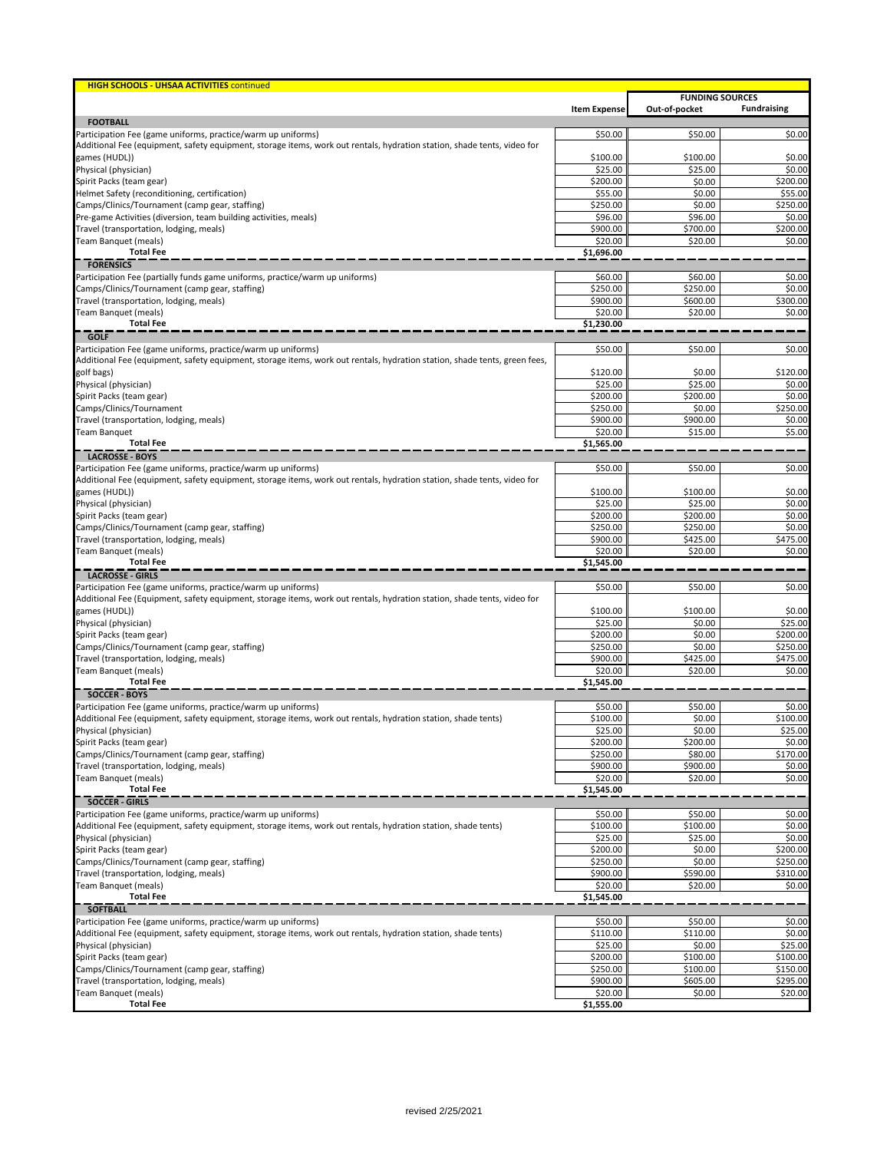| <b>HIGH SCHOOLS - UHSAA ACTIVITIES continued</b>                                                                                         |                     |                                         |                     |
|------------------------------------------------------------------------------------------------------------------------------------------|---------------------|-----------------------------------------|---------------------|
|                                                                                                                                          | <b>Item Expense</b> | <b>FUNDING SOURCES</b><br>Out-of-pocket | <b>Fundraising</b>  |
| <b>FOOTBALL</b>                                                                                                                          |                     |                                         |                     |
| Participation Fee (game uniforms, practice/warm up uniforms)                                                                             | \$50.00             | \$50.00                                 | \$0.00              |
| Additional Fee (equipment, safety equipment, storage items, work out rentals, hydration station, shade tents, video for                  |                     |                                         |                     |
| games (HUDL))                                                                                                                            | \$100.00            | \$100.00                                | \$0.00              |
| Physical (physician)                                                                                                                     | \$25.00<br>\$200.00 | \$25.00                                 | \$0.00<br>\$200.00  |
| Spirit Packs (team gear)<br>Helmet Safety (reconditioning, certification)                                                                | \$55.00             | \$0.00<br>\$0.00                        | \$55.00             |
| Camps/Clinics/Tournament (camp gear, staffing)                                                                                           | \$250.00            | \$0.00                                  | \$250.00            |
| Pre-game Activities (diversion, team building activities, meals)                                                                         | \$96.00             | \$96.00                                 | \$0.00              |
| Travel (transportation, lodging, meals)                                                                                                  | \$900.00            | \$700.00                                | \$200.00            |
| Team Banquet (meals)                                                                                                                     | \$20.00             | \$20.00                                 | \$0.00              |
| <b>Total Fee</b>                                                                                                                         | \$1,696.00          |                                         |                     |
| <b>FORENSICS</b>                                                                                                                         |                     |                                         |                     |
| Participation Fee (partially funds game uniforms, practice/warm up uniforms)<br>Camps/Clinics/Tournament (camp gear, staffing)           | \$60.00<br>\$250.00 | \$60.00<br>\$250.00                     | \$0.00<br>\$0.00    |
| Travel (transportation, lodging, meals)                                                                                                  | \$900.00            | \$600.00                                | \$300.00            |
| Team Banquet (meals)                                                                                                                     | \$20.00             | \$20.00                                 | \$0.00              |
| <b>Total Fee</b>                                                                                                                         | \$1,230.00          |                                         |                     |
| <b>GOLF</b>                                                                                                                              |                     |                                         |                     |
| Participation Fee (game uniforms, practice/warm up uniforms)                                                                             | \$50.00             | \$50.00                                 | \$0.00              |
| Additional Fee (equipment, safety equipment, storage items, work out rentals, hydration station, shade tents, green fees,                |                     |                                         |                     |
| golf bags)<br>Physical (physician)                                                                                                       | \$120.00<br>\$25.00 | \$0.00<br>\$25.00                       | \$120.00<br>\$0.00  |
| Spirit Packs (team gear)                                                                                                                 | \$200.00            | \$200.00                                | \$0.00              |
| Camps/Clinics/Tournament                                                                                                                 | \$250.00            | \$0.00                                  | \$250.00            |
| Travel (transportation, lodging, meals)                                                                                                  | \$900.00            | \$900.00                                | \$0.00              |
| <b>Team Banquet</b>                                                                                                                      | \$20.00             | \$15.00                                 | \$5.00              |
| <b>Total Fee</b>                                                                                                                         | \$1,565.00          |                                         |                     |
| <b>LACROSSE - BOYS</b>                                                                                                                   |                     |                                         |                     |
| Participation Fee (game uniforms, practice/warm up uniforms)                                                                             | \$50.00             | \$50.00                                 | \$0.00              |
| Additional Fee (equipment, safety equipment, storage items, work out rentals, hydration station, shade tents, video for<br>games (HUDL)) | \$100.00            | \$100.00                                | \$0.00              |
| Physical (physician)                                                                                                                     | \$25.00             | \$25.00                                 | \$0.00              |
| Spirit Packs (team gear)                                                                                                                 | \$200.00            | \$200.00                                | \$0.00              |
| Camps/Clinics/Tournament (camp gear, staffing)                                                                                           | \$250.00            | \$250.00                                | \$0.00              |
| Travel (transportation, lodging, meals)                                                                                                  | \$900.00            | \$425.00                                | \$475.00            |
| Team Banquet (meals)                                                                                                                     | \$20.00             | \$20.00                                 | \$0.00              |
| <b>Total Fee</b>                                                                                                                         | \$1,545.00          |                                         |                     |
| <b>LACROSSE - GIRLS</b>                                                                                                                  |                     |                                         |                     |
| Participation Fee (game uniforms, practice/warm up uniforms)                                                                             | \$50.00             | \$50.00                                 | \$0.00              |
| Additional Fee (Equipment, safety equipment, storage items, work out rentals, hydration station, shade tents, video for<br>games (HUDL)) | \$100.00            | \$100.00                                | \$0.00              |
| Physical (physician)                                                                                                                     | \$25.00             | \$0.00                                  | \$25.00             |
| Spirit Packs (team gear)                                                                                                                 | \$200.00            | \$0.00                                  | \$200.00            |
| Camps/Clinics/Tournament (camp gear, staffing)                                                                                           | \$250.00            | \$0.00                                  | \$250.00            |
| Travel (transportation, lodging, meals)                                                                                                  | \$900.00            | \$425.00                                | \$475.00            |
| Team Banquet (meals)                                                                                                                     | \$20.00             | \$20.00                                 | \$0.00              |
| <b>Total Fee</b>                                                                                                                         | \$1,545.00          |                                         |                     |
| <b>SOCCER - BOYS</b>                                                                                                                     |                     |                                         |                     |
| Participation Fee (game uniforms, practice/warm up uniforms)                                                                             | \$50.00             | \$50.00                                 | \$0.00              |
| Additional Fee (equipment, safety equipment, storage items, work out rentals, hydration station, shade tents)<br>Physical (physician)    | \$100.00<br>\$25.00 | \$0.00<br>\$0.00                        | \$100.00<br>\$25.00 |
| Spirit Packs (team gear)                                                                                                                 | \$200.00            | \$200.00                                | \$0.00              |
| Camps/Clinics/Tournament (camp gear, staffing)                                                                                           | \$250.00            | \$80.00                                 | \$170.00            |
| Travel (transportation, lodging, meals)                                                                                                  | \$900.00            | \$900.00                                | \$0.00              |
| Team Banquet (meals)                                                                                                                     | \$20.00             | \$20.00                                 | \$0.00              |
| <b>Total Fee</b>                                                                                                                         | \$1,545.00          |                                         |                     |
| <b>SOCCER - GIRLS</b>                                                                                                                    |                     |                                         |                     |
| Participation Fee (game uniforms, practice/warm up uniforms)                                                                             | \$50.00             | \$50.00                                 | \$0.00              |
| Additional Fee (equipment, safety equipment, storage items, work out rentals, hydration station, shade tents)<br>Physical (physician)    | \$100.00<br>\$25.00 | \$100.00<br>\$25.00                     | \$0.00<br>\$0.00    |
| Spirit Packs (team gear)                                                                                                                 | \$200.00            | \$0.00                                  | \$200.00            |
| Camps/Clinics/Tournament (camp gear, staffing)                                                                                           | \$250.00            | \$0.00                                  | \$250.00            |
| Travel (transportation, lodging, meals)                                                                                                  | \$900.00            | \$590.00                                | \$310.00            |
| Team Banquet (meals)                                                                                                                     | \$20.00             | \$20.00                                 | \$0.00              |
| <b>Total Fee</b>                                                                                                                         | \$1,545.00          |                                         |                     |
| <b>SOFTBALL</b>                                                                                                                          |                     |                                         |                     |
| Participation Fee (game uniforms, practice/warm up uniforms)                                                                             | \$50.00             | \$50.00                                 | \$0.00              |
| Additional Fee (equipment, safety equipment, storage items, work out rentals, hydration station, shade tents)                            | \$110.00            | \$110.00                                | \$0.00              |
| Physical (physician)<br>Spirit Packs (team gear)                                                                                         | \$25.00<br>\$200.00 | \$0.00<br>\$100.00                      | \$25.00<br>\$100.00 |
| Camps/Clinics/Tournament (camp gear, staffing)                                                                                           | \$250.00            | \$100.00                                | \$150.00            |
| Travel (transportation, lodging, meals)                                                                                                  | \$900.00            | \$605.00                                | \$295.00            |
| Team Banquet (meals)                                                                                                                     | \$20.00             | \$0.00                                  | \$20.00             |
| <b>Total Fee</b>                                                                                                                         | \$1,555.00          |                                         |                     |